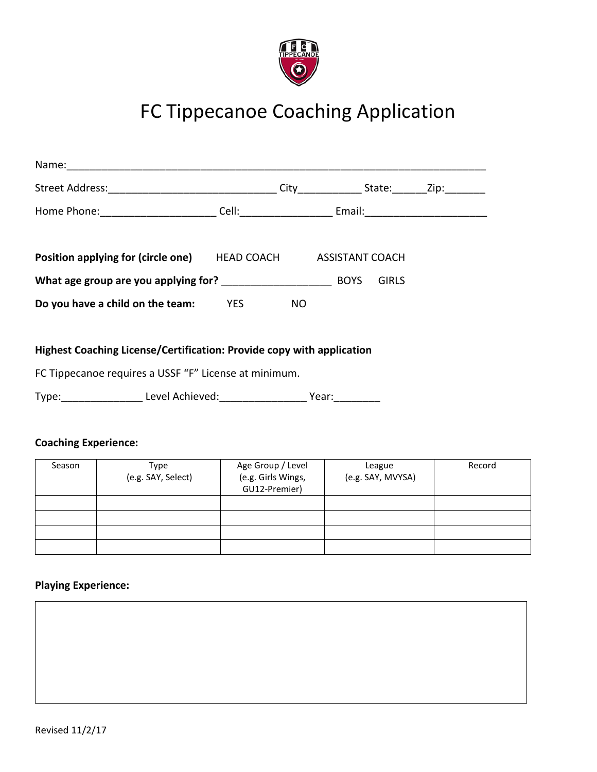

# FC Tippecanoe Coaching Application

| <b>Position applying for (circle one) HEAD COACH ASSISTANT COACH</b>  |     |  |              |  |
|-----------------------------------------------------------------------|-----|--|--------------|--|
|                                                                       |     |  | <b>GIRLS</b> |  |
| <b>Do you have a child on the team:</b> YES                           | NO. |  |              |  |
|                                                                       |     |  |              |  |
| Highest Coaching License/Certification: Provide copy with application |     |  |              |  |
| FC Tippecanoe requires a USSF "F" License at minimum.                 |     |  |              |  |
| Type: Level Achieved: Year: Year:                                     |     |  |              |  |

## **Coaching Experience:**

| Season | Type               | Age Group / Level  | League            | Record |
|--------|--------------------|--------------------|-------------------|--------|
|        | (e.g. SAY, Select) | (e.g. Girls Wings, | (e.g. SAY, MVYSA) |        |
|        |                    | GU12-Premier)      |                   |        |
|        |                    |                    |                   |        |
|        |                    |                    |                   |        |
|        |                    |                    |                   |        |
|        |                    |                    |                   |        |

## **Playing Experience:**